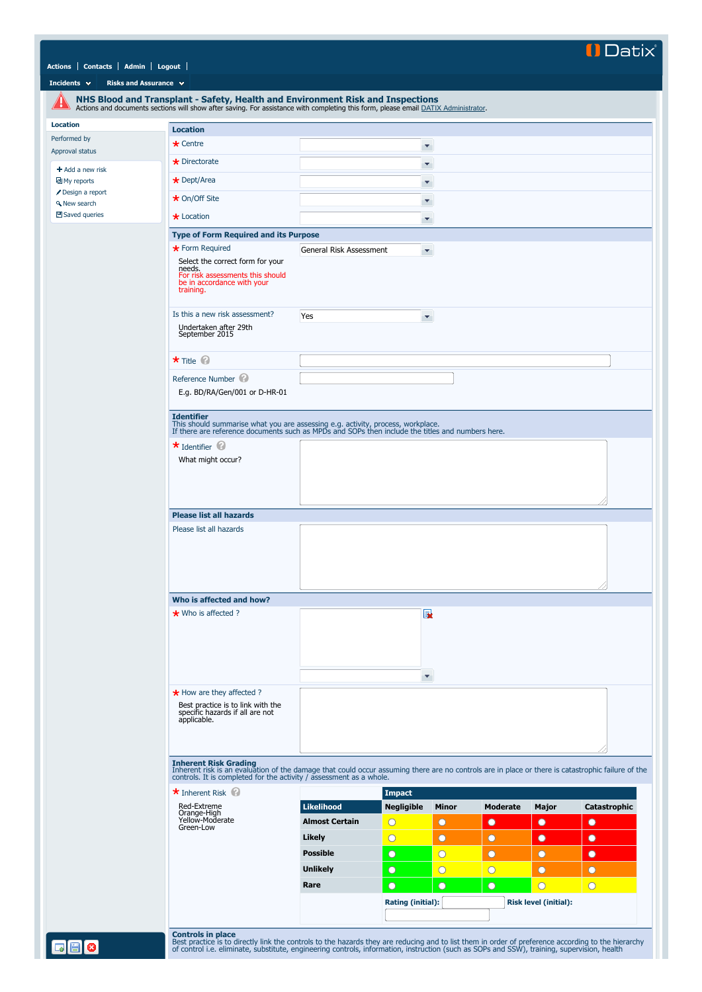## **IDatix**

|  | Actions   Contacts   Admin   Logout |  |  |
|--|-------------------------------------|--|--|
|--|-------------------------------------|--|--|

**[Incidents](javascript:if(CheckChange()){SendTo() <b>R** 

<span id="page-0-0"></span>**[Location](#page-0-0)**

|                                        | NHS Blood and Transplant - Safety, Health and Environment Risk and Inspections<br>Actions and documents sections will show after saving. For assistance with completing this form, please email DATIX Administrator.                 |                         |                          |                |                 |                              |                |
|----------------------------------------|--------------------------------------------------------------------------------------------------------------------------------------------------------------------------------------------------------------------------------------|-------------------------|--------------------------|----------------|-----------------|------------------------------|----------------|
| <b>Location</b>                        | <b>Location</b>                                                                                                                                                                                                                      |                         |                          |                |                 |                              |                |
| Performed by                           | $\star$ Centre                                                                                                                                                                                                                       |                         | $\blacktriangledown$     |                |                 |                              |                |
| Approval status                        | $\star$ Directorate                                                                                                                                                                                                                  |                         |                          |                |                 |                              |                |
| $+$ Add a new risk                     |                                                                                                                                                                                                                                      |                         | ۳                        |                |                 |                              |                |
| 回 My reports                           | $\star$ Dept/Area                                                                                                                                                                                                                    |                         | ۳                        |                |                 |                              |                |
| Design a report<br><b>A</b> New search | ★ On/Off Site                                                                                                                                                                                                                        |                         | Υ.                       |                |                 |                              |                |
| 凹 Saved queries                        | $\star$ Location                                                                                                                                                                                                                     |                         |                          |                |                 |                              |                |
|                                        |                                                                                                                                                                                                                                      |                         | ۳                        |                |                 |                              |                |
|                                        | <b>Type of Form Required and its Purpose</b>                                                                                                                                                                                         |                         |                          |                |                 |                              |                |
|                                        | * Form Required<br>Select the correct form for your<br>needs.<br>For risk assessments this should<br>be in accordance with your<br>training.                                                                                         | General Risk Assessment | ×.                       |                |                 |                              |                |
|                                        | Is this a new risk assessment?<br>Undertaken after 29th<br>September 2015                                                                                                                                                            | Yes                     | v,                       |                |                 |                              |                |
|                                        |                                                                                                                                                                                                                                      |                         |                          |                |                 |                              |                |
|                                        | * Title @                                                                                                                                                                                                                            |                         |                          |                |                 |                              |                |
|                                        | Reference Number<br>E.g. BD/RA/Gen/001 or D-HR-01                                                                                                                                                                                    |                         |                          |                |                 |                              |                |
|                                        | $\star$ Identifier $\circledcirc$<br>What might occur?<br><b>Please list all hazards</b>                                                                                                                                             |                         |                          |                |                 |                              |                |
|                                        | Please list all hazards                                                                                                                                                                                                              |                         |                          |                |                 |                              |                |
|                                        |                                                                                                                                                                                                                                      |                         |                          |                |                 |                              |                |
|                                        | Who is affected and how?                                                                                                                                                                                                             |                         |                          |                |                 |                              |                |
|                                        | $\star$ Who is affected ?                                                                                                                                                                                                            |                         | EX.                      |                |                 |                              |                |
|                                        |                                                                                                                                                                                                                                      |                         | ×                        |                |                 |                              |                |
|                                        | $\star$ How are they affected ?<br>Best practice is to link with the<br>specific hazards if all are not<br>applicable.                                                                                                               |                         |                          |                |                 |                              |                |
|                                        | Inherent Risk Grading<br>Inherent risk is an evaluation of the damage that could occur assuming there are no controls are in place or there is catastrophic failure of the<br>controls. It is completed for the activity / assessmen |                         |                          |                |                 |                              |                |
|                                        | * Inherent Risk                                                                                                                                                                                                                      |                         | <b>Impact</b>            |                |                 |                              |                |
|                                        | Red-Extreme                                                                                                                                                                                                                          | <b>Likelihood</b>       | <b>Negligible</b>        | Minor          | <b>Moderate</b> | Major                        | Catastrophic   |
|                                        | Orange-High<br>Yellow-Moderate                                                                                                                                                                                                       | <b>Almost Certain</b>   | $\overline{O}$           | O              | $\bullet$       | $\bullet$                    | $\bullet$      |
|                                        | Green-Low                                                                                                                                                                                                                            |                         |                          |                |                 |                              |                |
|                                        |                                                                                                                                                                                                                                      | Likely                  | $\overline{O}$           | $\bullet$      | $\bullet$       | $\bullet$                    | $\bullet$      |
|                                        |                                                                                                                                                                                                                                      | <b>Possible</b>         | $\circ$                  | $\overline{O}$ | $\bullet$       | $\circ$                      | $\bullet$      |
|                                        |                                                                                                                                                                                                                                      | <b>Unlikely</b>         | $\bullet$                | $\overline{O}$ | $\overline{O}$  | $\circ$                      | $\bullet$      |
|                                        |                                                                                                                                                                                                                                      | Rare                    | $\bullet$                | $\circ$        | $\bullet$       | $\overline{O}$               | $\overline{O}$ |
|                                        |                                                                                                                                                                                                                                      |                         |                          |                |                 |                              |                |
|                                        |                                                                                                                                                                                                                                      |                         | <b>Rating (initial):</b> |                |                 | <b>Risk level (initial):</b> |                |

**Controls in place**<br>Best practice is to directly link the controls to the hazards they are reducing and to list them in order of preference according to the hierarchy<br>of control i.e. eliminate, substitute, engineering cont